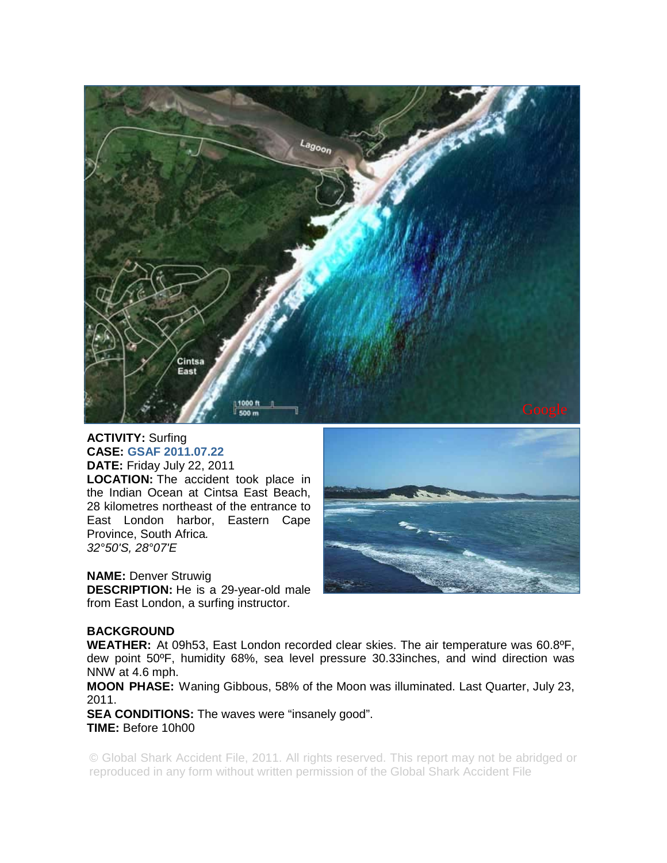

## **ACTIVITY:** Surfing **CASE: GSAF 2011.07.22**

**DATE:** Friday July 22, 2011 **LOCATION:** The accident took place in the Indian Ocean at Cintsa East Beach, 28 kilometres northeast of the entrance to East London harbor, Eastern Cape Province, South Africa*. 32°50'S, 28°07'E* 

**NAME:** Denver Struwig

**DESCRIPTION:** He is a 29-year-old male from East London, a surfing instructor.



## **BACKGROUND**

**WEATHER:** At 09h53, East London recorded clear skies. The air temperature was 60.8ºF, dew point 50ºF, humidity 68%, sea level pressure 30.33inches, and wind direction was NNW at 4.6 mph.

**MOON PHASE:** Waning Gibbous, 58% of the Moon was illuminated. Last Quarter, July 23, 2011.

**SEA CONDITIONS:** The waves were "insanely good". **TIME:** Before 10h00

© Global Shark Accident File, 2011. All rights reserved. This report may not be abridged or reproduced in any form without written permission of the Global Shark Accident File